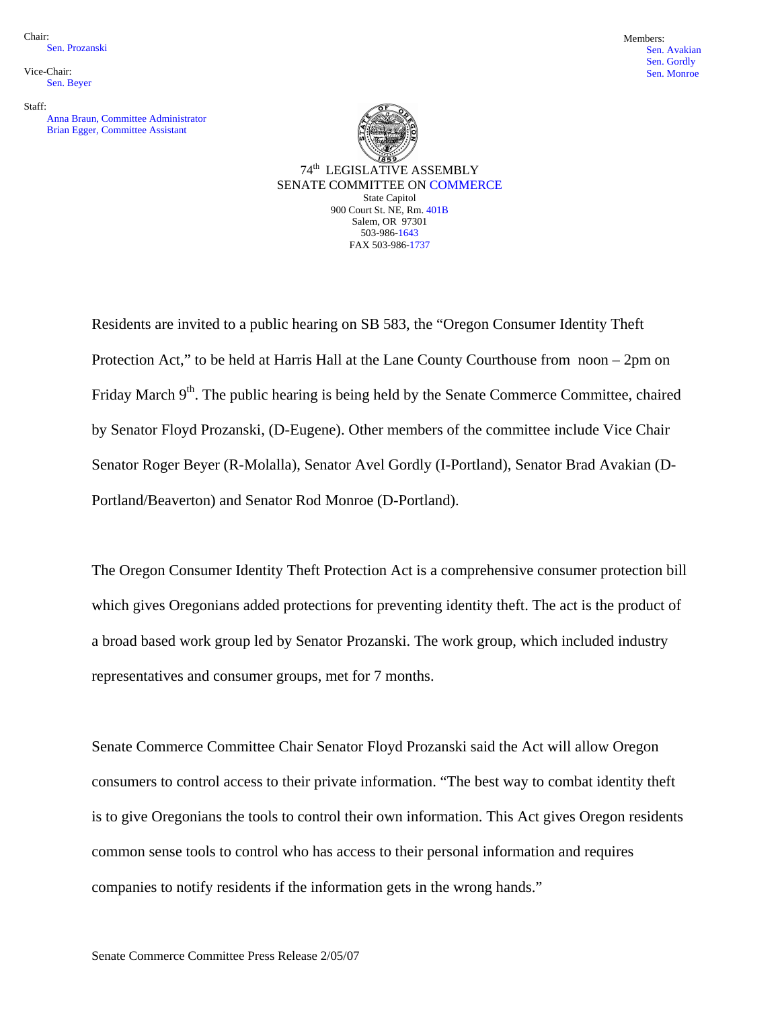Chair: Sen. Prozanski

Vice-Chair: Sen. Beyer

Staff:

Anna Braun, Committee Administrator Brian Egger, Committee Assistant





Residents are invited to a public hearing on SB 583, the "Oregon Consumer Identity Theft Protection Act," to be held at Harris Hall at the Lane County Courthouse from noon – 2pm on Friday March  $9<sup>th</sup>$ . The public hearing is being held by the Senate Commerce Committee, chaired by Senator Floyd Prozanski, (D-Eugene). Other members of the committee include Vice Chair Senator Roger Beyer (R-Molalla), Senator Avel Gordly (I-Portland), Senator Brad Avakian (D-Portland/Beaverton) and Senator Rod Monroe (D-Portland).

The Oregon Consumer Identity Theft Protection Act is a comprehensive consumer protection bill which gives Oregonians added protections for preventing identity theft. The act is the product of a broad based work group led by Senator Prozanski. The work group, which included industry representatives and consumer groups, met for 7 months.

Senate Commerce Committee Chair Senator Floyd Prozanski said the Act will allow Oregon consumers to control access to their private information. "The best way to combat identity theft is to give Oregonians the tools to control their own information. This Act gives Oregon residents common sense tools to control who has access to their personal information and requires companies to notify residents if the information gets in the wrong hands."